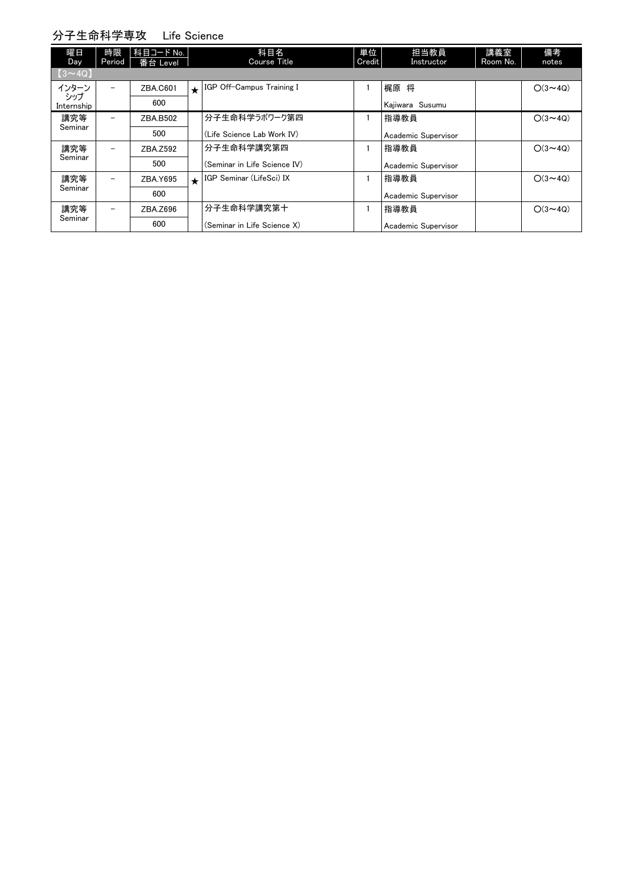## 分子生命科学専攻 Life Science

| 曜日<br>Day         | 時限<br>Period             | 科目コード No.<br>番台 Level |         | 科目名<br>Course Title          | 単位<br>Credit | 担当教員<br>Instructor  | 講義室<br>Room No. | 備考<br>notes    |
|-------------------|--------------------------|-----------------------|---------|------------------------------|--------------|---------------------|-----------------|----------------|
| $(3 \sim 4Q)$     |                          |                       |         |                              |              |                     |                 |                |
| インターン             |                          | ZBA.C601              | $\star$ | IGP Off-Campus Training I    |              | 梶原 将                |                 | $O(3 \sim 4Q)$ |
| シップ<br>Internship |                          | 600                   |         |                              |              | Kajiwara Susumu     |                 |                |
| 講究等               | $\overline{\phantom{0}}$ | ZBA.B502              |         | 分子生命科学ラボワーク第四                |              | 指導教員                |                 | $O(3 \sim 4Q)$ |
| Seminar           |                          | 500                   |         | (Life Science Lab Work IV)   |              | Academic Supervisor |                 |                |
| 講究等               | $\overline{\phantom{m}}$ | ZBA.Z592              |         | 分子生命科学講究第四                   |              | 指導教員                |                 | $O(3 \sim 4Q)$ |
| Seminar           |                          | 500                   |         | (Seminar in Life Science IV) |              | Academic Supervisor |                 |                |
| 講究等               | $\overline{\phantom{m}}$ | ZBA.Y695              | $\star$ | IGP Seminar (LifeSci) IX     |              | 指導教員                |                 | $O(3 \sim 40)$ |
| Seminar           |                          | 600                   |         |                              |              | Academic Supervisor |                 |                |
| 講究等               |                          | ZBA.Z696              |         | 分子生命科学講究第十                   |              | 指導教員                |                 | $O(3 \sim 4Q)$ |
| Seminar           |                          | 600                   |         | (Seminar in Life Science X)  |              | Academic Supervisor |                 |                |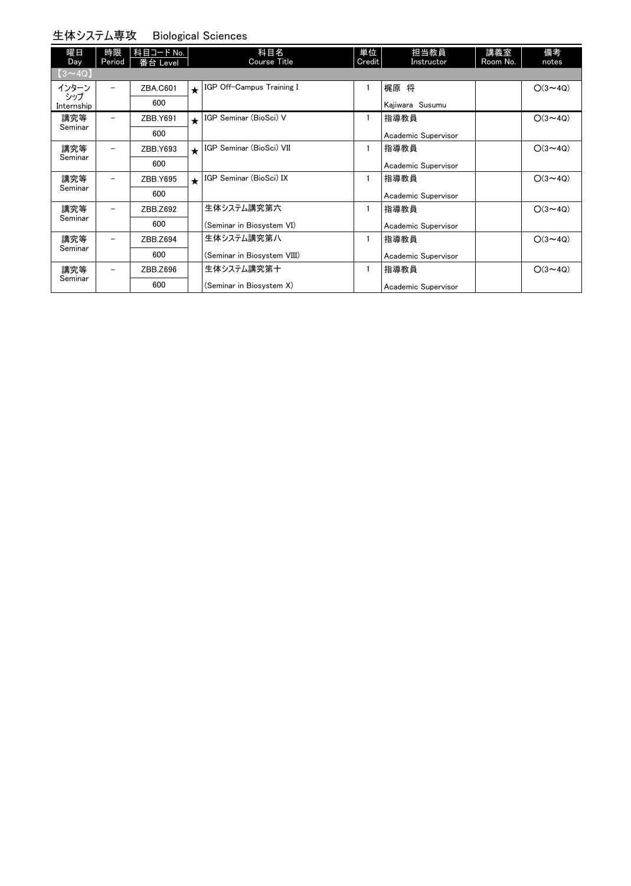#### 生体システム専攻 Biological Sciences

| 曜日<br>Day         | 時限<br>Period | 科目コード No.<br>番台 Level |            | 科目名<br>Course Title         | 単位<br>Credit | 担当教員<br>Instructor  | 講義室<br>Room No. | 備考<br>notes    |
|-------------------|--------------|-----------------------|------------|-----------------------------|--------------|---------------------|-----------------|----------------|
| $(3 \sim 4Q)$     |              |                       |            |                             |              |                     |                 |                |
| インターン             |              | ZBA.C601              | $\star$    | IGP Off-Campus Training I   | 1            | 梶原 将                |                 | $O(3 \sim 4Q)$ |
| シップ<br>Internship |              | 600                   |            |                             |              | Kajiwara Susumu     |                 |                |
| 講究等               |              | ZBB.Y691              | $\bigstar$ | IGP Seminar (BioSci) V      |              | 指導教員                |                 | $O(3 \sim 4Q)$ |
| Seminar           |              | 600                   |            |                             |              | Academic Supervisor |                 |                |
| 講究等<br>Seminar    |              | ZBB.Y693              | $\bigstar$ | IGP Seminar (BioSci) VII    | 1            | 指導教員                |                 | $O(3 \sim 4Q)$ |
|                   |              | 600                   |            |                             |              | Academic Supervisor |                 |                |
| 講究等<br>Seminar    |              | ZBB.Y695              | $\star$    | IGP Seminar (BioSci) IX     |              | 指導教員                |                 | $O(3 \sim 4Q)$ |
|                   |              | 600                   |            |                             |              | Academic Supervisor |                 |                |
| 講究等               |              | ZBB.Z692              |            | 生体システム講究第六                  | 1            | 指導教員                |                 | $O(3 \sim 4Q)$ |
| Seminar           |              | 600                   |            | (Seminar in Biosystem VI)   |              | Academic Supervisor |                 |                |
| 講究等<br>Seminar    |              | ZBB.Z694              |            | 生体システム講究第八                  |              | 指導教員                |                 | $O(3 \sim 4Q)$ |
|                   |              | 600                   |            | (Seminar in Biosystem VIII) |              | Academic Supervisor |                 |                |
| 講究等<br>Seminar    |              | ZBB.Z696              |            | 生体システム講究第十                  | 1            | 指導教員                |                 | $O(3 \sim 4Q)$ |
|                   |              | 600                   |            | (Seminar in Biosystem X)    |              | Academic Supervisor |                 |                |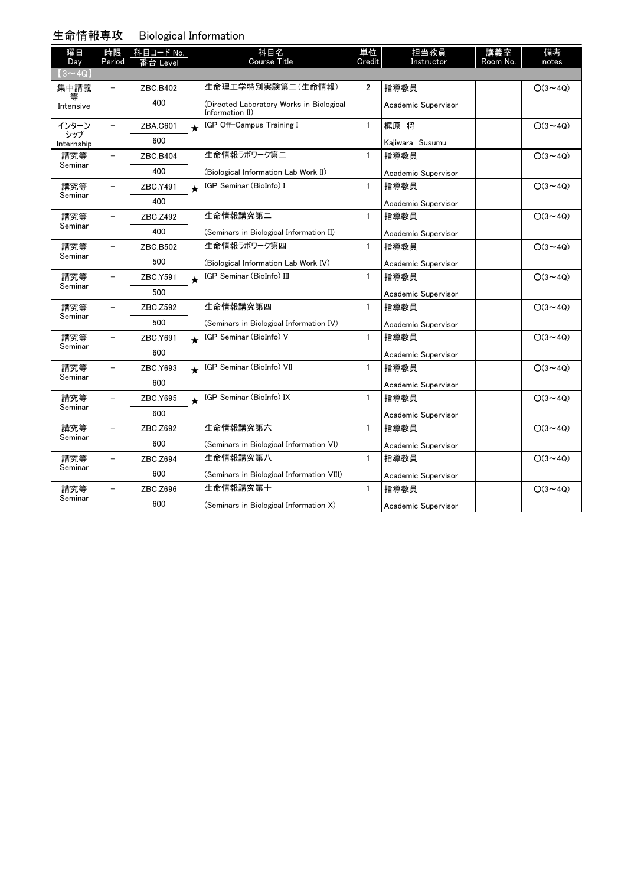#### 生命情報専攻 Biological Information

| 曜日<br>Day         | 時限<br>Period             | │科目コード No.<br>番台 Level |             | 科目名<br><b>Course Title</b>                                  | 単位<br>Credit   | 担当教員<br>Instructor  | 講義室<br>Room No. | 備考<br>notes    |
|-------------------|--------------------------|------------------------|-------------|-------------------------------------------------------------|----------------|---------------------|-----------------|----------------|
| $(3 \sim 4Q)$     |                          |                        |             |                                                             |                |                     |                 |                |
| 集中講義              |                          | ZBC.B402               |             | 生命理工学特別実験第二(生命情報)                                           | $\overline{2}$ | 指導教員                |                 | $O(3 \sim 4Q)$ |
| 等<br>Intensive    |                          | 400                    |             | (Directed Laboratory Works in Biological<br>Information II) |                | Academic Supervisor |                 |                |
| インターン             | $\equiv$                 | ZBA.C601               | $\ddotmark$ | IGP Off-Campus Training I                                   | $\mathbf{1}$   | 梶原 将                |                 | $O(3 \sim 4Q)$ |
| シップ<br>Internship |                          | 600                    |             |                                                             |                | Kajiwara Susumu     |                 |                |
| 講究等               |                          | ZBC.B404               |             | 生命情報ラボワーク第二                                                 | $\mathbf{1}$   | 指導教員                |                 | $O(3 \sim 4Q)$ |
| Seminar           |                          | 400                    |             | (Biological Information Lab Work II)                        |                | Academic Supervisor |                 |                |
| 講究等               |                          | ZBC.Y491               | $\star$     | IGP Seminar (BioInfo) I                                     | $\mathbf{1}$   | 指導教員                |                 | $O(3 \sim 4Q)$ |
| Seminar           |                          | 400                    |             |                                                             |                | Academic Supervisor |                 |                |
| 講究等               |                          | ZBC.Z492               |             | 生命情報講究第二                                                    | $\mathbf{1}$   | 指導教員                |                 | $O(3 \sim 4Q)$ |
| Seminar           |                          | 400                    |             | (Seminars in Biological Information II)                     |                | Academic Supervisor |                 |                |
| 講究等<br>Seminar    | $\overline{\phantom{0}}$ | ZBC.B502               |             | 生命情報ラボワーク第四                                                 | $\mathbf{1}$   | 指導教員                |                 | $O(3 \sim 4Q)$ |
|                   |                          | 500                    |             | (Biological Information Lab Work IV)                        |                | Academic Supervisor |                 |                |
| 講究等               | $\overline{\phantom{a}}$ | ZBC.Y591               | $\star$     | IGP Seminar (BioInfo) III                                   | $\mathbf{1}$   | 指導教員                |                 | $O(3 \sim 4Q)$ |
| Seminar           |                          | 500                    |             |                                                             |                | Academic Supervisor |                 |                |
| 講究等               |                          | ZBC.Z592               |             | 生命情報講究第四                                                    | $\mathbf{1}$   | 指導教員                |                 | $O(3 \sim 4Q)$ |
| Seminar           |                          | 500                    |             | (Seminars in Biological Information IV)                     |                | Academic Supervisor |                 |                |
| 講究等               |                          | ZBC.Y691               | $\star$     | IGP Seminar (BioInfo) V                                     | $\mathbf{1}$   | 指導教員                |                 | $O(3 \sim 40)$ |
| Seminar           |                          | 600                    |             |                                                             |                | Academic Supervisor |                 |                |
| 講究等               |                          | ZBC.Y693               | $\star$     | IGP Seminar (BioInfo) VII                                   | $\mathbf{1}$   | 指導教員                |                 | $O(3 \sim 4Q)$ |
| Seminar           |                          | 600                    |             |                                                             |                | Academic Supervisor |                 |                |
| 講究等               |                          | ZBC.Y695               | $\star$     | IGP Seminar (BioInfo) IX                                    | $\mathbf{1}$   | 指導教員                |                 | $O(3 \sim 4Q)$ |
| Seminar           |                          | 600                    |             |                                                             |                | Academic Supervisor |                 |                |
| 講究等               | $\overline{a}$           | ZBC.Z692               |             | 生命情報講究第六                                                    | $\mathbf{1}$   | 指導教員                |                 | $O(3 \sim 4Q)$ |
| Seminar           |                          | 600                    |             | (Seminars in Biological Information VI)                     |                | Academic Supervisor |                 |                |
| 講究等               | $\overline{\phantom{m}}$ | ZBC.Z694               |             | 生命情報講究第八                                                    | $\mathbf{1}$   | 指導教員                |                 | $O(3 \sim 4Q)$ |
| Seminar           |                          | 600                    |             | (Seminars in Biological Information VIII)                   |                | Academic Supervisor |                 |                |
| 講究等               |                          | ZBC.Z696               |             | 生命情報講究第十                                                    | $\mathbf{1}$   | 指導教員                |                 | $O(3 - 4Q)$    |
| Seminar           |                          | 600                    |             | (Seminars in Biological Information X)                      |                | Academic Supervisor |                 |                |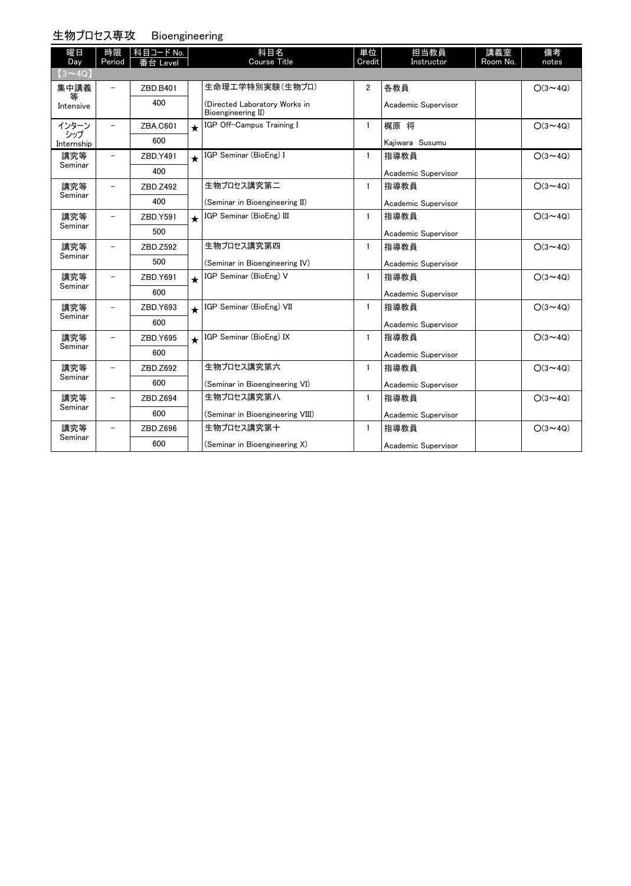### 生物プロセス専攻 Bioengineering

| 曜日<br>Day         | 時限<br>Period             | 科目コード No.<br>番台 Level |         | 科目名<br>Course Title                                 | 単位<br>Credit   | 担当教員<br>Instructor  | 講義室<br>Room No. | 備考<br>notes    |
|-------------------|--------------------------|-----------------------|---------|-----------------------------------------------------|----------------|---------------------|-----------------|----------------|
| $(3 \sim 4Q)$     |                          |                       |         |                                                     |                |                     |                 |                |
| 集中講義              | $\overline{\phantom{a}}$ | ZBD.B401              |         | 生命理工学特別実験(生物プロ)                                     | $\overline{2}$ | 各教員                 |                 | $O(3 \sim 4Q)$ |
| 等<br>Intensive    |                          | 400                   |         | (Directed Laboratory Works in<br>Bioengineering II) |                | Academic Supervisor |                 |                |
| インターン             |                          | ZBA.C601              |         | IGP Off-Campus Training I                           | $\mathbf{1}$   | 梶原 将                |                 | $O(3 \sim 4Q)$ |
| シップ<br>Internship |                          | 600                   |         |                                                     |                | Kaiiwara Susumu     |                 |                |
| 講究等               |                          | ZBD.Y491              | $\star$ | IGP Seminar (BioEng) I                              | $\mathbf{1}$   | 指導教員                |                 | $O(3 \sim 4Q)$ |
| Seminar           |                          | 400                   |         |                                                     |                | Academic Supervisor |                 |                |
| 講究等               |                          | ZBD.Z492              |         | 生物プロセス講究第二                                          | $\mathbf{1}$   | 指導教員                |                 | $O(3 \sim 4Q)$ |
| Seminar           |                          | 400                   |         | (Seminar in Bioengineering II)                      |                | Academic Supervisor |                 |                |
| 講究等               |                          | ZBD.Y591              | $\star$ | IGP Seminar (BioEng) III                            | $\mathbf{1}$   | 指導教員                |                 | $O(3 \sim 4Q)$ |
| Seminar           |                          | 500                   |         |                                                     |                | Academic Supervisor |                 |                |
| 講究等               | $\qquad \qquad -$        | ZBD.Z592              |         | 生物プロセス講究第四                                          | $\mathbf{1}$   | 指導教員                |                 | $O(3 \sim 4Q)$ |
| Seminar           |                          | 500                   |         | (Seminar in Bioengineering IV)                      |                | Academic Supervisor |                 |                |
| 講究等               |                          | ZBD.Y691              | $\star$ | IGP Seminar (BioEng) V                              | $\mathbf{1}$   | 指導教員                |                 | $O(3 \sim 4Q)$ |
| Seminar           |                          | 600                   |         |                                                     |                | Academic Supervisor |                 |                |
| 講究等               |                          | ZBD.Y693              | $\star$ | IGP Seminar (BioEng) VII                            | $\mathbf{1}$   | 指導教員                |                 | $O(3 \sim 4Q)$ |
| Seminar           |                          | 600                   |         |                                                     |                | Academic Supervisor |                 |                |
| 講究等               |                          | ZBD.Y695              | $\star$ | IGP Seminar (BioEng) IX                             | $\mathbf{1}$   | 指導教員                |                 | $O(3 \sim 4Q)$ |
| Seminar           |                          | 600                   |         |                                                     |                | Academic Supervisor |                 |                |
| 講究等               | $\overline{\phantom{0}}$ | ZBD.Z692              |         | 生物プロセス講究第六                                          | $\mathbf{1}$   | 指導教員                |                 | $O(3 \sim 4Q)$ |
| Seminar           |                          | 600                   |         | (Seminar in Bioengineering VI)                      |                | Academic Supervisor |                 |                |
| 講究等               | $\overline{\phantom{0}}$ | ZBD.Z694              |         | 生物プロセス講究第八                                          | $\mathbf{1}$   | 指導教員                |                 | $O(3 \sim 4Q)$ |
| Seminar           |                          | 600                   |         | (Seminar in Bioengineering VIII)                    |                | Academic Supervisor |                 |                |
| 講究等               | $\qquad \qquad -$        | ZBD.Z696              |         | 生物プロセス講究第十                                          | $\mathbf{1}$   | 指導教員                |                 | $O(3 \sim 4Q)$ |
| Seminar           |                          | 600                   |         | (Seminar in Bioengineering X)                       |                | Academic Supervisor |                 |                |